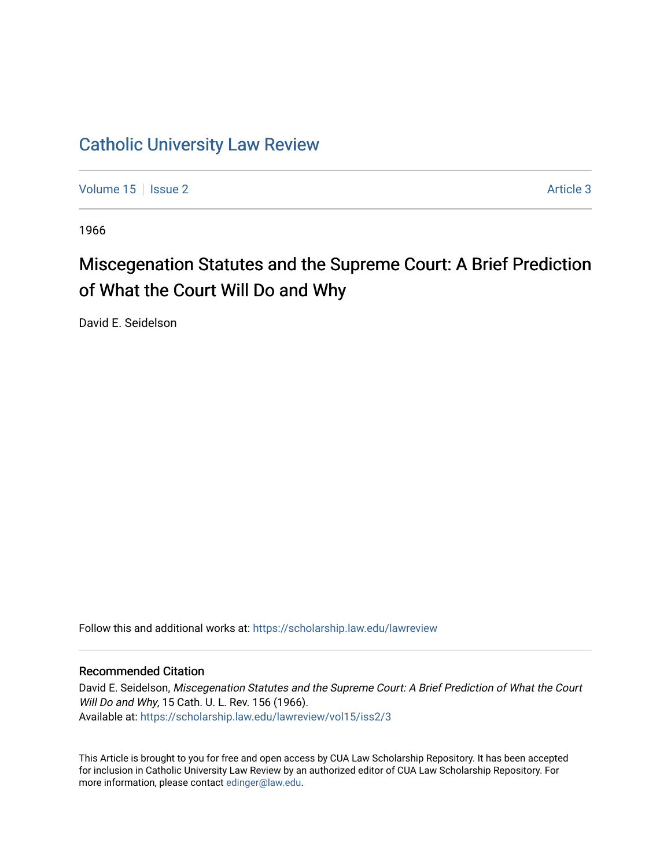## [Catholic University Law Review](https://scholarship.law.edu/lawreview)

[Volume 15](https://scholarship.law.edu/lawreview/vol15) | [Issue 2](https://scholarship.law.edu/lawreview/vol15/iss2) Article 3

1966

## Miscegenation Statutes and the Supreme Court: A Brief Prediction of What the Court Will Do and Why

David E. Seidelson

Follow this and additional works at: [https://scholarship.law.edu/lawreview](https://scholarship.law.edu/lawreview?utm_source=scholarship.law.edu%2Flawreview%2Fvol15%2Fiss2%2F3&utm_medium=PDF&utm_campaign=PDFCoverPages)

## Recommended Citation

David E. Seidelson, Miscegenation Statutes and the Supreme Court: A Brief Prediction of What the Court Will Do and Why, 15 Cath. U. L. Rev. 156 (1966). Available at: [https://scholarship.law.edu/lawreview/vol15/iss2/3](https://scholarship.law.edu/lawreview/vol15/iss2/3?utm_source=scholarship.law.edu%2Flawreview%2Fvol15%2Fiss2%2F3&utm_medium=PDF&utm_campaign=PDFCoverPages)

This Article is brought to you for free and open access by CUA Law Scholarship Repository. It has been accepted for inclusion in Catholic University Law Review by an authorized editor of CUA Law Scholarship Repository. For more information, please contact [edinger@law.edu.](mailto:edinger@law.edu)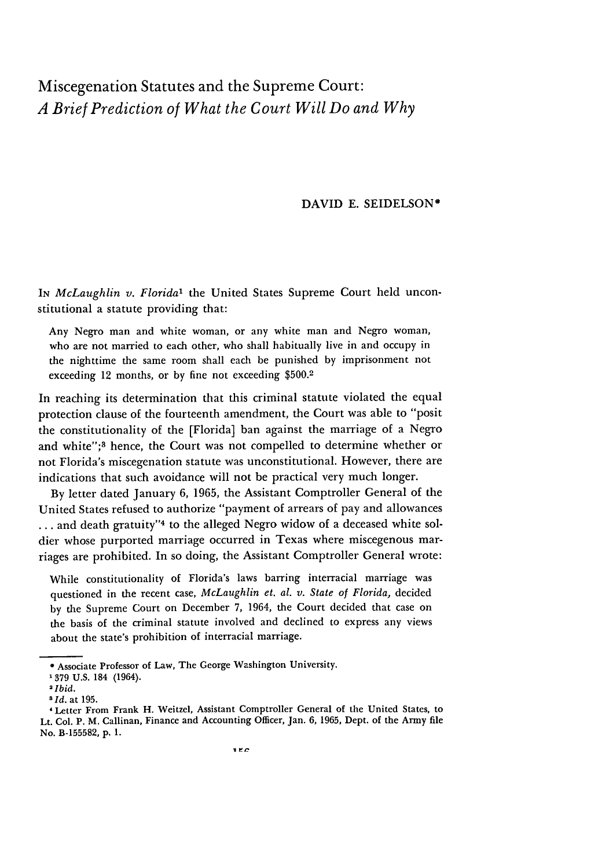## Miscegenation Statutes and the Supreme Court: *A Brief Prediction of What the Court Will Do and Why*

DAVID E. SEIDELSON\*

*IN McLaughlin v. Florida'* the United States Supreme Court held unconstitutional a statute providing that:

Any Negro man and white woman, or any white man and Negro woman, who are not married to each other, who shall habitually live in and occupy in the nighttime the same room shall each be punished by imprisonment not exceeding 12 months, or by fine not exceeding \$500.2

In reaching its determination that this criminal statute violated the equal protection clause of the fourteenth amendment, the Court was able to "posit the constitutionality of the [Florida] ban against the marriage of a Negro and white";<sup>3</sup> hence, the Court was not compelled to determine whether or not Florida's miscegenation statute was unconstitutional. However, there are indications that such avoidance will not be practical very much longer.

By letter dated January 6, 1965, the Assistant Comptroller General of the United States refused to authorize "payment of arrears of pay and allowances ... and death gratuity"<sup>4</sup> to the alleged Negro widow of a deceased white soldier whose purported marriage occurred in Texas where miscegenous marriages are prohibited. In so doing, the Assistant Comptroller General wrote:

While constitutionality of Florida's laws barring interracial marriage was questioned in the recent case, *McLaughlin et. al. v. State of Florida,* decided by the Supreme Court on December 7, 1964, the Court decided that case on the basis of the criminal statute involved and declined to express any views about the state's prohibition of interracial marriage.

Associate Professor of Law, The George Washington University.

**<sup>&#</sup>x27;379 U.S. 184** (1964).

<sup>2</sup> *Ibid.*

*<sup>8</sup>***Id. at 195.**

**<sup>&#</sup>x27;** Letter From Frank H. Weitzel, Assistant Comptroller General **of** the United States, to Lt. Col. P. M. Callinan, Finance and Accounting Officer, Jan. **6, 1965,** Dept. of **the Army** file No. **B-155582, p. 1.**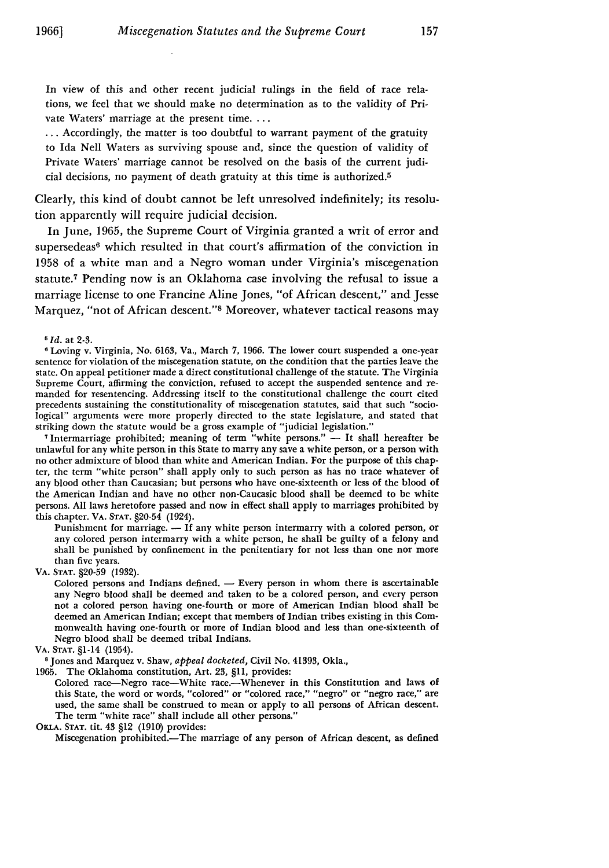In view of this and other recent judicial rulings in the field of race relations, we feel that we should make no determination as to the validity of Private Waters' marriage at the present time. . . .

... Accordingly, the matter is too doubtful to warrant payment of the gratuity to Ida Nell Waters as surviving spouse and, since the question of validity of Private Waters' marriage cannot be resolved on the basis of the current judicial decisions, no payment of death gratuity at this time is authorized. <sup>5</sup>

Clearly, this kind of doubt cannot be left unresolved indefinitely; its resolution apparently will require judicial decision.

In June, 1965, the Supreme Court of Virginia granted a writ of error and supersedeas<sup>6</sup> which resulted in that court's affirmation of the conviction in 1958 of a white man and a Negro woman under Virginia's miscegenation statute.7 Pending now is an Oklahoma case involving the refusal to issue a marriage license to one Francine Aline Jones, "of African descent," and Jesse Marquez, "not of African descent."8 Moreover, whatever tactical reasons may

*5Id.* at **2-3.**

Loving v. Virginia, No. 6163, Va., March 7, 1966. The lower court suspended a one-year sentence for violation of the miscegenation statute, on the condition that the parties leave the state. On appeal petitioner made a direct constitutional challenge of the statute. The Virginia Supreme Court, affirming the conviction, refused to accept the suspended sentence and remanded for resentencing. Addressing itself to the constitutional challenge the court cited precedents sustaining the constitutionality of miscegenation statutes, said that such "sociological" arguments were more properly directed to the state legislature, and stated that striking down the statute would be a gross example of "judicial legislation."

<sup>7</sup> Intermarriage prohibited; meaning of term "white persons."  $-$  It shall hereafter be unlawful for any white person in this State to marry any save a white person, or a person with no other admixture of blood than white and American Indian. For the purpose of this chapter, the term "white person" shall apply only to such person as has no trace whatever of any blood other than Caucasian; but persons who have one-sixteenth or less of the blood of the American Indian and have no other non-Caucasic blood shall be deemed to be white persons. All laws heretofore passed and now in effect shall apply to marriages prohibited by this chapter. VA. **STAT.** §20-54 (1924).

Punishment for marriage. - If any white person intermarry with a colored person, or any colored person intermarry with a white person, he shall be guilty of a felony and shall be punished by confinement in the penitentiary for not less than one nor more than five years.

VA. **STAT.** §20-59 (1932).

Colored persons and Indians defined. - Every person in whom there is ascertainable any Negro blood shall be deemed and taken to be a colored person, and every person not a colored person having one-fourth or more of American Indian blood shall be deemed an American Indian; except that members of Indian tribes existing in this Commonwealth having one-fourth or more of Indian blood and less than one-sixteenth of Negro blood shall be deemed tribal Indians.

**VA. STAT.** §1-14 (1954). **<sup>8</sup>**Jones and Marquez v. Shaw, *appeal docketed,* Civil No. 41393, Okla.,

1965. The Oklahoma constitution, Art. **23,** §11, provides:

Colored race-Negro race-White race.-Whenever in this Constitution and laws **of** this State, the word or words, "colored" or "colored race," "negro" or "negro race," are used, the same shall be construed to mean or apply to all persons of African descent. The term "white race" shall include all other persons."

OKLA. **STAT.** tit. 43 §12 (1910) provides:

Miscegenation prohibited.-The marriage of any person of African descent, as defined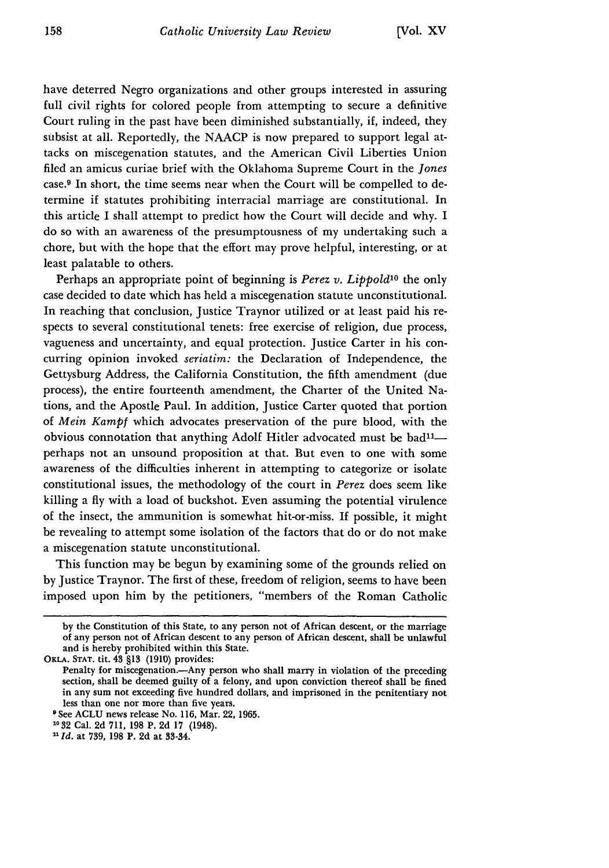have deterred Negro organizations and other groups interested in assuring full civil rights for colored people from attempting to secure a definitive Court ruling in the past have been diminished substantially, if, indeed, they subsist at all. Reportedly, the NAACP is now prepared to support legal attacks on miscegenation statutes, and the American Civil Liberties Union filed an amicus curiae brief with the Oklahoma Supreme Court in the *Jones* case.9 In short, the time seems near when the Court will be compelled to determine if statutes prohibiting interracial marriage are constitutional. In this article I shall attempt to predict how the Court will decide and why. I do so with an awareness of the presumptousness of my undertaking such a chore, but with the hope that the effort may prove helpful, interesting, or at least palatable to others.

Perhaps an appropriate point of beginning is *Perez v. Lippold*<sup>10</sup> the only case decided to date which has held a miscegenation statute unconstitutional. In reaching that conclusion, Justice Traynor utilized or at least paid his respects to several constitutional tenets: free exercise of religion, due process, vagueness and uncertainty, and equal protection. Justice Carter in his concurring opinion invoked *seriatim:* the Declaration of Independence, the Gettysburg Address, the California Constitution, the fifth amendment (due process), the entire fourteenth amendment, the Charter of the United Nations, and the Apostle Paul. In addition, Justice Carter quoted that portion of *Mein Kampt* which advocates preservation of the pure blood, with the obvious connotation that anything Adolf Hitler advocated must be bad<sup>11</sup>perhaps not an unsound proposition at that. But even to one with some awareness of the difficulties inherent in attempting to categorize or isolate constitutional issues, the methodology of the court in *Perez* does seem like killing a fly with a load of buckshot. Even assuming the potential virulence of the insect, the ammunition is somewhat hit-or-miss. If possible, it might be revealing to attempt some isolation of the factors that do or do not make a miscegenation statute unconstitutional.

This function may be begun by examining some of the grounds relied on by Justice Traynor. The first of these, freedom of religion, seems to have been imposed upon him by the petitioners, "members of the Roman Catholic

by the Constitution of this State, to any person not of African descent, or the marriage of any person not of African descent to any person of African descent, shall be unlawful and is hereby prohibited within this State.

OKLA. **STAT. tit.** 43 **§13 (1910)** provides:

Penalty for miscegenation.- Any person who shall marry in violation of the preceding section, shall be deemed guilty of a felony, and upon conviction thereof shall be fined in any sum not exceeding five hundred dollars, and imprisoned in the penitentiary not less than one nor more than five years.

<sup>&#</sup>x27;See **ACLU** news release No. **116,** Mar. 22, **1965.**

**<sup>&</sup>quot;32** Cal. **2d 711, 198** P. **2d 17** (1948). *DId.* at 739, **198** P. **2d** at 33-34.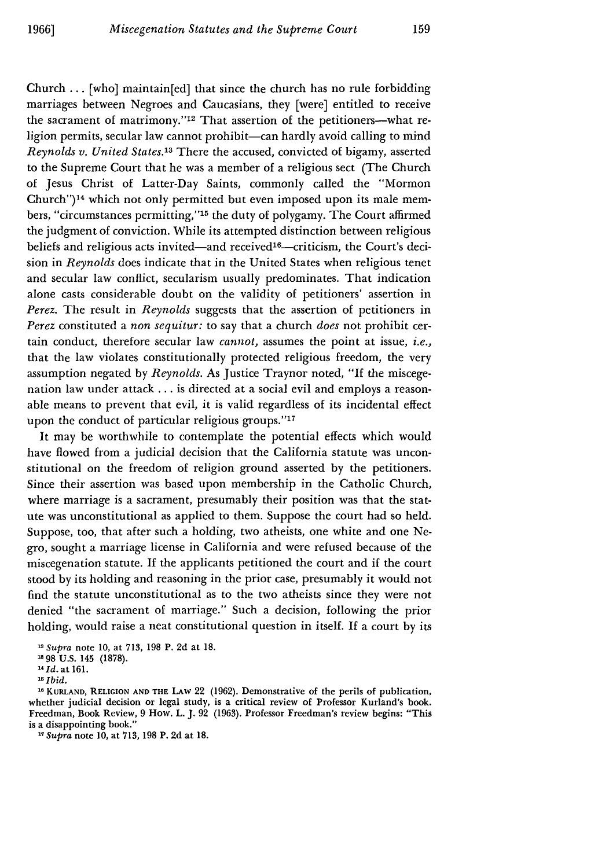Church ... [who] maintain[ed] that since the church has no rule forbidding marriages between Negroes and Caucasians, they [were] entitled to receive the sacrament of matrimony."<sup>12</sup> That assertion of the petitioners--what religion permits, secular law cannot prohibit-can hardly avoid calling to mind *Reynolds v. United States.13* There the accused, convicted of bigamy, asserted to the Supreme Court that he was a member of a religious sect (The Church of Jesus Christ of Latter-Day Saints, commonly called the "Mormon Church")<sup>14</sup> which not only permitted but even imposed upon its male members, "circumstances permitting,"'15 the duty of polygamy. The Court affirmed the judgment of conviction. While its attempted distinction between religious beliefs and religious acts invited-and received<sup>16</sup>-criticism, the Court's decision in *Reynolds* does indicate that in the United States when religious tenet and secular law conflict, secularism usually predominates. That indication alone casts considerable doubt on the validity of petitioners' assertion in *Perez.* The result in *Reynolds* suggests that the assertion of petitioners in *Perez* constituted a *non sequitur:* to say that a church *does* not prohibit certain conduct, therefore secular law *cannot,* assumes the point at issue, *i.e.,* that the law violates constitutionally protected religious freedom, the very assumption negated by *Reynolds.* As Justice Traynor noted, "If the miscegenation law under attack **...** is directed at a social evil and employs a reasonable means to prevent that evil, it is valid regardless of its incidental effect upon the conduct of particular religious groups."<sup>17</sup>

It may be worthwhile to contemplate the potential effects which would have flowed from a judicial decision that the California statute was unconstitutional on the freedom of religion ground asserted by the petitioners. Since their assertion was based upon membership in the Catholic Church, where marriage is a sacrament, presumably their position was that the statute was unconstitutional as applied to them. Suppose the court had so held. Suppose, too, that after such a holding, two atheists, one white and one Negro, sought a marriage license in California and were refused because of the miscegenation statute. If the applicants petitioned the court and if the court stood by its holding and reasoning in the prior case, presumably it would not find the statute unconstitutional as to the two atheists since they were not denied "the sacrament of marriage." Such a decision, following the prior holding, would raise a neat constitutional question in itself. If a court by its

**18 KURLAND, RELIGION AND** THE LAw 22 **(1962).** Demonstrative **of** the perils of publication, whether judicial decision or legal study, is a critical review of Professor Kurland's book. Freedman, Book Review, **9** How. L. J. 92 **(1963).** Professor Freedman's review begins: "This is a disappointing book."

*1 Supra* note **10,** at **713, 198 P.** 2d at **18.**

<sup>&</sup>lt;sup>12</sup> *Supra* note 10, at 713, 198 P. 2d at 18.

**<sup>98</sup> U.S.** 145 **(1878).**

**<sup>1</sup>** *Id.* **at 161.**

*is Ibid.*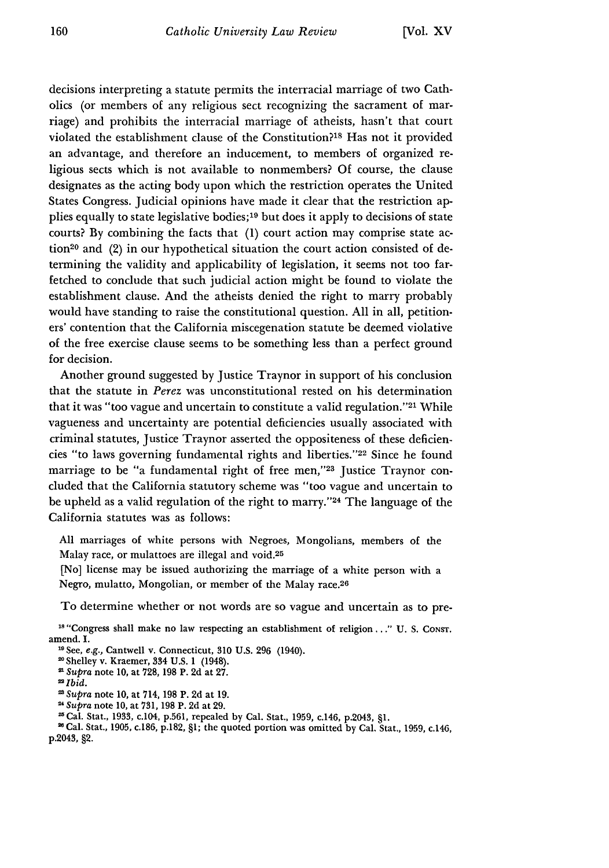decisions interpreting a statute permits the interracial marriage of two Catholics (or members of any religious sect recognizing the sacrament of marriage) and prohibits the interracial marriage of atheists, hasn't that court violated the establishment clause of the Constitution?<sup>18</sup> Has not it provided an advantage, and therefore an inducement, to members of organized religious sects which is not available to nonmembers? Of course, the clause designates as the acting body upon which the restriction operates the United States Congress. Judicial opinions have made it clear that the restriction applies equally to state legislative bodies;<sup>19</sup> but does it apply to decisions of state courts? By combining the facts that (1) court action may comprise state action<sup>20</sup> and  $(2)$  in our hypothetical situation the court action consisted of determining the validity and applicability of legislation, it seems not too farfetched to conclude that such judicial action might be found to violate the establishment clause. And the atheists denied the right to marry probably would have standing to raise the constitutional question. All in all, petitioners' contention that the California miscegenation statute be deemed violative of the free exercise clause seems to be something less than a perfect ground for decision.

Another ground suggested by Justice Traynor in support of his conclusion that the statute in *Perez* was unconstitutional rested on his determination that it was "too vague and uncertain to constitute a valid regulation."<sup>21</sup> While vagueness and uncertainty are potential deficiencies usually associated with criminal statutes, Justice Traynor asserted the oppositeness of these deficiencies "to laws governing fundamental rights and liberties."<sup>22</sup> Since he found marriage to be "a fundamental right of free men,"<sup>23</sup> Justice Traynor concluded that the California statutory scheme was "too vague and uncertain to be upheld as a valid regulation of the right to marry."<sup>24</sup> The language of the California statutes was as follows:

**All** marriages **of** white persons with Negroes, Mongolians, members of the Malay race, or mulattoes are illegal and void.<sup>25</sup>

[No] license may be issued authorizing the marriage of a white person with a Negro, mulatto, Mongolian, or member of the Malay race.<sup>26</sup>

To determine whether or not words are so vague and uncertain as to pre-

<sup>18</sup> "Congress shall make no law respecting an establishment of religion,..." U. S. Const. amend. I.

"See, e.g., Cantwell v. Connecticut, **310 U.S. 296** (1940).

<sup>20</sup> Shelley v. Kraemer, 334 U.S. 1 (1948).

*Supra* note 10, at 728, 198 P. 2d at 27.

*=Ibid.*

*Supra* note **10,** at 714, 198 P. 2d at 19.

*"Supra* note 10, at 731, 198 P. 2d at 29.

Cal. Stat., 1933, c.104, p.561, repealed by Cal. Stat., 1959, c.146, p.2043, §1. 21 Cal. Stat., **1905,** c.186, **p.182, §1;** the quoted portion was omitted **by** Cal. Stat., **1959,** c.146, p.2043, §2.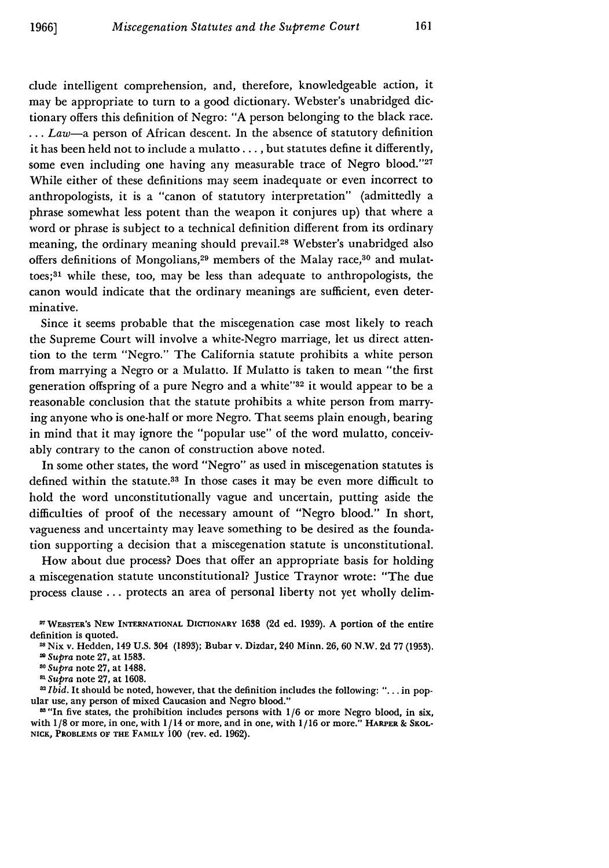clude intelligent comprehension, and, therefore, knowledgeable action, it may be appropriate to turn to a good dictionary. Webster's unabridged dictionary offers this definition of Negro: "A person belonging to the black race. **...** *Law-a* person of African descent. In the absence of statutory definition it has been held not to include a mulatto... **,** but statutes define it differently, some even including one having any measurable trace of Negro blood."27 While either of these definitions may seem inadequate or even incorrect to anthropologists, it is a "canon of statutory interpretation" (admittedly a phrase somewhat less potent than the weapon it conjures up) that where a word or phrase is subject to a technical definition different from its ordinary meaning, the ordinary meaning should prevail.<sup>28</sup> Webster's unabridged also offers definitions of Mongolians,<sup>29</sup> members of the Malay race,<sup>30</sup> and mulattoes; 31 while these, too, may be less than adequate to anthropologists, the canon would indicate that the ordinary meanings are sufficient, even determinative.

Since it seems probable that the miscegenation case most likely to reach the Supreme Court will involve a white-Negro marriage, let us direct attention to the term "Negro." The California statute prohibits a white person from marrying a Negro or a Mulatto. If Mulatto is taken to mean "the first generation offspring of a pure Negro and a white"<sup>32</sup> it would appear to be a reasonable conclusion that the statute prohibits a white person from marrying anyone who is one-half or more Negro. That seems plain enough, bearing in mind that it may ignore the "popular use" of the word mulatto, conceivably contrary to the canon of construction above noted.

In some other states, the word "Negro" as used in miscegenation statutes is defined within the statute.33 In those cases it may be even more difficult to hold the word unconstitutionally vague and uncertain, putting aside the difficulties of proof of the necessary amount of "Negro blood." In short, vagueness and uncertainty may leave something to be desired as the foundation supporting a decision that a miscegenation statute is unconstitutional.

How about due process? Does that offer an appropriate basis for holding a miscegenation statute unconstitutional? Justice Traynor wrote: "The due process clause ... protects an area of personal liberty not yet wholly delim-

**WWEBSTER's NEW INTERNATIONAL DICTIONARY 1638 (2d ed. 1939). A** portion of the entire **definition** is **quoted.**

<sup>2</sup>**Nix** v. Hedden, 149 U.S. 304 (1893); Bubar v. Dizdar, 240 Minn. **26, 60** N.W. **2d 77 (1953). "** *Supra* note **27,** at **1583.**

**<sup>30</sup>** *Supra* note 27, at 1488.

**<sup>&</sup>quot;** *Supra* note 27, at **1608.** *<sup>8</sup> Ibid.* It should be noted, however, that the definition includes the following: "... in popular use, any person of mixed Caucasion and Negro blood."

<sup>&</sup>lt;sup>28</sup> "In five states, the prohibition includes persons with 1/6 or more Negro blood, in six, with **1/8** or more, in one, with 1/14 or more, and in one, with 1/16 or more." **HARPER & SKOL-NICK, PROBLEMS OF THE FAMILY 100** (rev. ed. **1962).**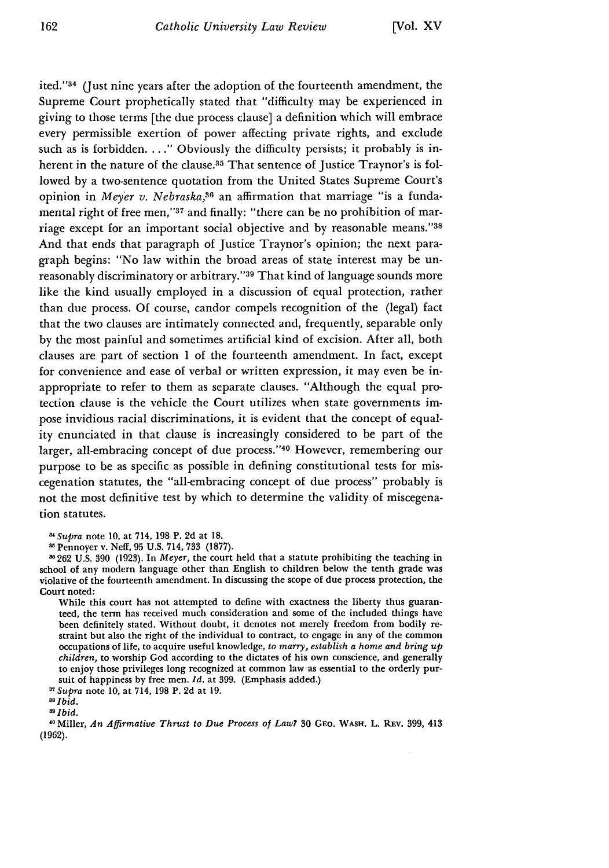ited."34 (Just nine years after the adoption of the fourteenth amendment, the Supreme Court prophetically stated that "difficulty may be experienced in giving to those terms [the due process clause] a definition which will embrace every permissible exertion of power affecting private rights, and exclude such as is forbidden. . . ." Obviously the difficulty persists; it probably is inherent in the nature of the clause.<sup>35</sup> That sentence of Justice Traynor's is followed by a two-sentence quotation from the United States Supreme Court's opinion in *Meyer v. Nebraska,36* an affirmation that marriage "is a fundamental right of free men,"37 and finally: "there can be no prohibition of marriage except for an important social objective and by reasonable means."<sup>38</sup> And that ends that paragraph of Justice Traynor's opinion; the next paragraph begins: "No law within the broad areas of state interest may be unreasonably discriminatory or arbitrary."<sup>39</sup> That kind of language sounds more like the kind usually employed in a discussion of equal protection, rather than due process. Of course, candor compels recognition of the (legal) fact that the two clauses are intimately connected and, frequently, separable only by the most painful and sometimes artificial kind of excision. After all, both clauses are part of section 1 of the fourteenth amendment. In fact, except for convenience and ease of verbal or written expression, it may even be inappropriate to refer to them as separate clauses. "Although the equal protection clause is the vehicle the Court utilizes when state governments impose invidious racial discriminations, it is evident that the concept of equality enunciated in that clause is increasingly considered to be part of the larger, all-embracing concept of due process."<sup>40</sup> However, remembering our purpose to be as specific as possible in defining constitutional tests for miscegenation statutes, the "all-embracing concept of due process" probably is not the most definitive test by which to determine the validity of miscegenation statutes.

*8 1Supra* note 10, at 714, 198 P. 2d at 18.

While this court has not attempted to define with exactness the liberty thus guaranteed, the term has received much consideration and some of the included things have been definitely stated. Without doubt, it denotes not merely freedom from bodily restraint but also the right of the individual to contract, to engage in any of the common occupations of life, to acquire useful knowledge, to *marry, establish a home and bring up children,* to worship God according to the dictates of his own conscience, and generally to enjoy those privileges long recognized at common law as essential to the orderly pursuit of happiness by free men. *Id.* at 399. (Emphasis added.)

*17Supra* note 10, at 714, 198 P. 2d at 19.

*as Ibid.*

*Ibid.*

**0** Miller, *An Affirmative Thrust to Due Process of Law?* **30** GEo. WASH. L. REv. 399, 413 (1962).

**<sup>1</sup>** Pennoyer v. Neff, 95 U.S. 714, **733** (1877).

f262 U.S. **390** (1923). In *Meyer,* the court held that a statute prohibiting the teaching in school of any modern language other than English to children below the tenth grade was violative of the fourteenth amendment. In discussing the scope of due process protection, the Court noted: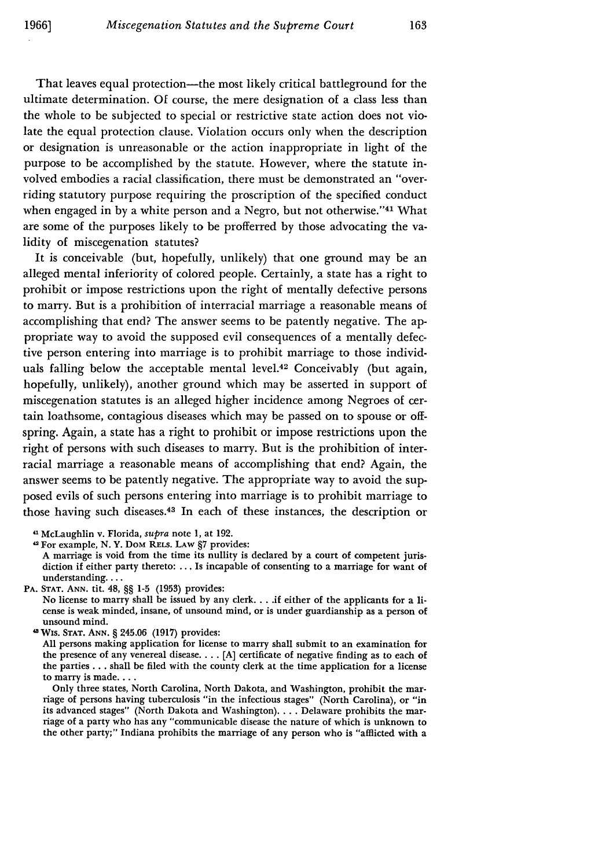That leaves equal protection—the most likely critical battleground for the ultimate determination. Of course, the mere designation of a class less than the whole to be subjected to special or restrictive state action does not violate the equal protection clause. Violation occurs only when the description or designation is unreasonable or the action inappropriate in light of the purpose to be accomplished by the statute. However, where the statute involved embodies a racial classification, there must be demonstrated an "overriding statutory purpose requiring the proscription of the specified conduct when engaged in by a white person and a Negro, but not otherwise."<sup>41</sup> What are some of the purposes likely to be profferred by those advocating the validity of miscegenation statutes?

It is conceivable (but, hopefully, unlikely) that one ground may be an alleged mental inferiority of colored people. Certainly, a state has a right to prohibit or impose restrictions upon the right of mentally defective persons to marry. But is a prohibition of interracial marriage a reasonable means of accomplishing that end? The answer seems to be patently negative. The appropriate way to avoid the supposed evil consequences of a mentally defective person entering into marriage is to prohibit marriage to those individuals falling below the acceptable mental level.42 Conceivably (but again, hopefully, unlikely), another ground which may be asserted in support of miscegenation statutes is an alleged higher incidence among Negroes of certain loathsome, contagious diseases which may be passed on to spouse or offspring. Again, a state has a right to prohibit or impose restrictions upon the right of persons with such diseases to marry. But is the prohibition of interracial marriage a reasonable means of accomplishing that end? Again, the answer seems to be patently negative. The appropriate way to avoid the supposed evils of such persons entering into marriage is to prohibit marriage to those having such diseases.43 In each of these instances, the description or

<sup>41</sup> McLaughlin v. Florida, supra note 1, at 192.

<sup>42</sup>For example, N. Y. DOM **RELS.** LAW §7 provides:

A marriage is void from the time its nullity is declared by a court of competent jurisdiction if either party thereto: ... Is incapable of consenting to a marriage for want of understanding....

**PA. STAT. ANN.** tit. 48, §§ **1-5 (1953)** provides:

No license to marry shall be issued **by** any clerk **....** if either of the applicants for a license is weak minded, insane, of unsound mind, or is under guardianship as a person of unsound mind.

41 Wis. **STAT. ANN.** § 245.06 (1917) provides:

**All** persons making application for license to marry shall submit to an examination for the presence of any venereal disease.... [A] certificate of negative finding as to each of the parties **...** shall be filed with the county clerk at the time application for a license to marry is made....

Only three states, North Carolina, North Dakota, and Washington, prohibit the marriage of persons having tuberculosis "in the infectious stages" (North Carolina), or "in its advanced stages" (North Dakota and Washington).... Delaware prohibits the marriage of a party who has any "communicable disease the nature of which is unknown to the other party;" Indiana prohibits the marriage of any person who is "afflicted with a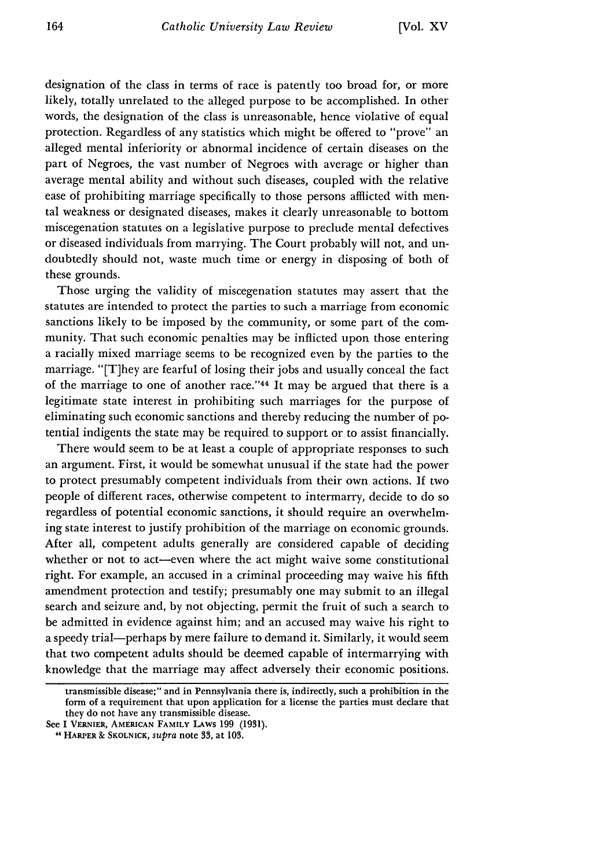designation of the class in terms of race is patently too broad for, or more likely, totally unrelated to the alleged purpose to be accomplished. In other words, the designation of the class is unreasonable, hence violative of equal protection. Regardless of any statistics which might be offered to "prove" an alleged mental inferiority or abnormal incidence of certain diseases on the part of Negroes, the vast number of Negroes with average or higher than average mental ability and without such diseases, coupled with the relative ease of prohibiting marriage specifically to those persons afflicted with mental weakness or designated diseases, makes it clearly unreasonable to bottom miscegenation statutes on a legislative purpose to preclude mental defectives or diseased individuals from marrying. The Court probably will not, and undoubtedly should not, waste much time or energy in disposing of both of these grounds.

Those urging the validity of miscegenation statutes may assert that the statutes are intended to protect the parties to such a marriage from economic sanctions likely to be imposed by the community, or some part of the community. That such economic penalties may be inflicted upon those entering a racially mixed marriage seems to be recognized even by the parties to the marriage. "[T]hey are fearful of losing their jobs and usually conceal the fact of the marriage to one of another race." 44 It may be argued that there is a legitimate state interest in prohibiting such marriages for the purpose of eliminating such economic sanctions and thereby reducing the number of potential indigents the state may be required to support or to assist financially.

There would seem to be at least a couple of appropriate responses to such an argument. First, it would be somewhat unusual if the state had the power to protect presumably competent individuals from their own actions. If two people of different races, otherwise competent to intermarry, decide to do so regardless of potential economic sanctions, it should require an overwhelming state interest to justify prohibition of the marriage on economic grounds. After all, competent adults generally are considered capable of deciding whether or not to act-even where the act might waive some constitutional right. For example, an accused in a criminal proceeding may waive his fifth amendment protection and testify; presumably one may submit to an illegal search and seizure and, by not objecting, permit the fruit of such a search to be admitted in evidence against him; and an accused may waive his right to a speedy trial-perhaps by mere failure to demand it. Similarly, it would seem that two competent adults should be deemed capable of intermarrying with knowledge that the marriage may affect adversely their economic positions.

transmissible disease;" and in Pennsylvania there is, indirectly, such a prohibition in the form of a requirement that upon application for a license the parties must declare that they do not have any transmissible disease.

See I **VERNIER, AMERICAN FAMILY LAWS** 199 **(1931).**

**<sup>11</sup> HARPER &** SKOLNICK, *supra* note 33, at **103.**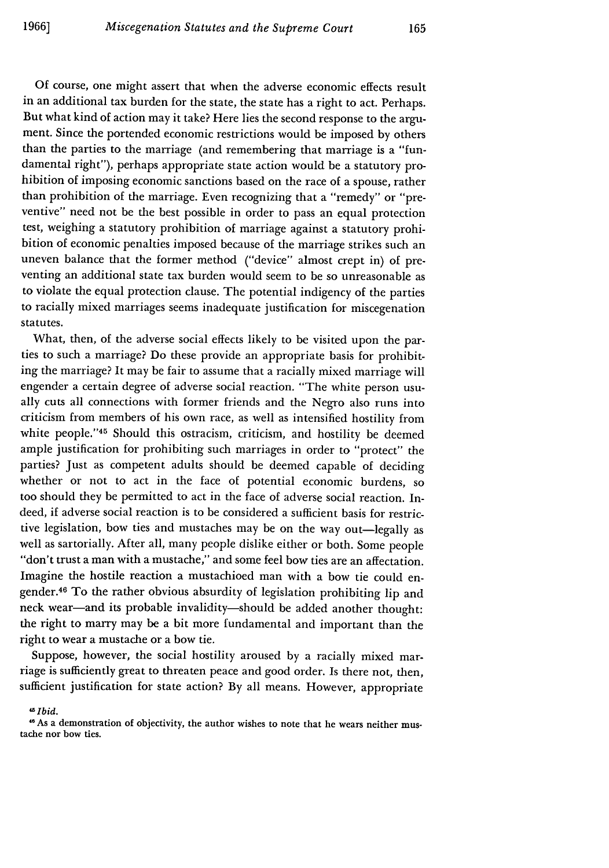Of course, one might assert that when the adverse economic effects result in an additional tax burden for the state, the state has a right to act. Perhaps. But what kind of action may it take? Here lies the second response to the argument. Since the portended economic restrictions would be imposed by others than the parties to the marriage (and remembering that marriage is a "fundamental right"), perhaps appropriate state action would be a statutory prohibition of imposing economic sanctions based on the race of a spouse, rather than prohibition of the marriage. Even recognizing that a "remedy" or "preventive" need not be the best possible in order to pass an equal protection test, weighing a statutory prohibition of marriage against a statutory prohibition of economic penalties imposed because of the marriage strikes such an uneven balance that the former method ("device" almost crept in) of preventing an additional state tax burden would seem to be so unreasonable as to violate the equal protection clause. The potential indigency of the parties to racially mixed marriages seems inadequate justification for miscegenation statutes.

What, then, of the adverse social effects likely to be visited upon the parties to such a marriage? Do these provide an appropriate basis for prohibiting the marriage? It may be fair to assume that a racially mixed marriage will engender a certain degree of adverse social reaction. "The white person usually cuts all connections with former friends and the Negro also runs into criticism from members of his own race, as well as intensified hostility from white people."45 Should this ostracism, criticism, and hostility be deemed ample justification for prohibiting such marriages in order to "protect" the parties? Just as competent adults should be deemed capable of deciding whether or not to act in the face of potential economic burdens, so too should they be permitted to act in the face of adverse social reaction. Indeed, if adverse social reaction is to be considered a sufficient basis for restrictive legislation, bow ties and mustaches may be on the way out-legally as well as sartorially. After all, many people dislike either or both. Some people "don't trust a man with a mustache," and some feel bow ties are an affectation. Imagine the hostile reaction a mustachioed man with a bow tie could engender.46 To the rather obvious absurdity of legislation prohibiting lip and neck wear—and its probable invalidity—should be added another thought: the right to marry may be a bit more fundamental and important than the right to wear a mustache or a bow tie.

Suppose, however, the social hostility aroused by a racially mixed marriage is sufficiently great to threaten peace and good order. Is there not, then, sufficient justification for state action? By all means. However, appropriate

*' 5 Ibid.* <sup>4</sup>

<sup>46</sup> As a demonstration of objectivity, the author wishes to note that he wears neither mustache nor bow ties.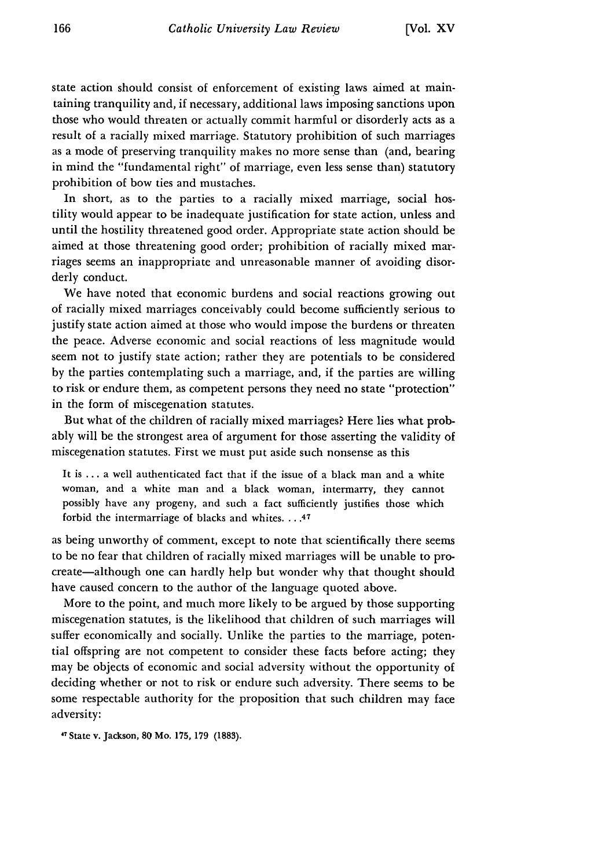state action should consist of enforcement of existing laws aimed at maintaining tranquility and, if necessary, additional laws imposing sanctions upon those who would threaten or actually commit harmful or disorderly acts as a result of a racially mixed marriage. Statutory prohibition of such marriages as a mode of preserving tranquility makes no more sense than (and, bearing in mind the "fundamental right" of marriage, even less sense than) statutory prohibition of bow ties and mustaches.

In short, as to the parties to a racially mixed marriage, social hostility would appear to be inadequate justification for state action, unless and until the hostility threatened good order. Appropriate state action should be aimed at those threatening good order; prohibition of racially mixed marriages seems an inappropriate and unreasonable manner of avoiding disorderly conduct.

We have noted that economic burdens and social reactions growing out of racially mixed marriages conceivably could become sufficiently serious to justify state action aimed at those who would impose the burdens or threaten the peace. Adverse economic and social reactions of less magnitude would seem not to justify state action; rather they are potentials to be considered by the parties contemplating such a marriage, and, if the parties are willing to risk or endure them, as competent persons they need no state "protection" in the form of miscegenation statutes.

But what of the children of racially mixed marriages? Here lies what probably will be the strongest area of argument for those asserting the validity of miscegenation statutes. First we must put aside such nonsense as this

It is ... a well authenticated fact that if the issue of a black man and a white woman, and a white man and a black woman, intermarry, they cannot possibly have any progeny, and such a fact sufficiently justifies those which forbid the intermarriage of blacks and whites. .. .47

as being unworthy of comment, except to note that scientifically there seems to be no fear that children of racially mixed marriages will be unable to procreate-although one can hardly help but wonder why that thought should have caused concern to the author of the language quoted above.

More to the point, and much more likely to be argued by those supporting miscegenation statutes, is the likelihood that children of such marriages will suffer economically and socially. Unlike the parties to the marriage, potential offspring are not competent to consider these facts before acting; they may be objects of economic and social adversity without the opportunity of deciding whether or not to risk or endure such adversity. There seems to be some respectable authority for the proposition that such children may face adversity:

*'7* State v. Jackson, **80 Mo. 175, 179 (1883).**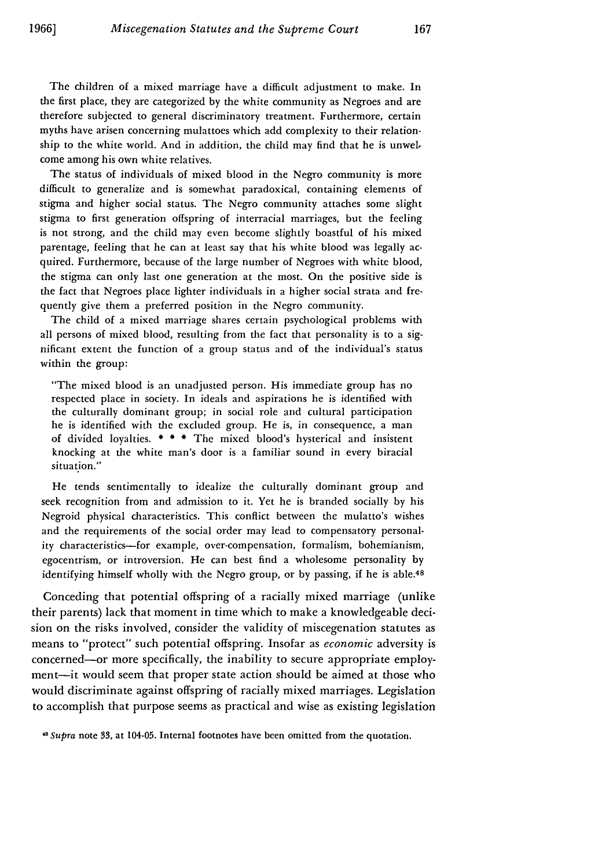The children of a mixed marriage have a difficult adjustment to make. In the first place, they are categorized by the white community as Negroes and are therefore subjected to general discriminatory treatment. Furthermore, certain myths have arisen concerning mulattoes which add complexity to their relationship to the white world. And in addition, the child may find that he is unwel, come among his own white relatives.

The status of individuals of mixed blood in the Negro community is more difficult to generalize and is somewhat paradoxical, containing elements of stigma and higher social status. The Negro community attaches some slight stigma to first generation offspring of interracial marriages, but the feeling is not strong, and the child may even become slightly boastful of his mixed parentage, feeling that he can at least say that his white blood was legally acquired. Furthermore, because of the large number of Negroes with white blood, the stigma can only last one generation at the most. On the positive side is the fact that Negroes place lighter individuals in a higher social strata and frequently give them a preferred position in the Negro community.

The child of a mixed marriage shares certain psychological problems with all persons of mixed blood, resulting from the fact that personality is to a significant extent the function of a group status and of the individual's status within the group:

"The mixed blood is an unadjusted person. His immediate group has no respected place in society. In ideals and aspirations he is identified with the culturally dominant group; in social role and cultural participation he is identified with the excluded group. He is, in consequence, a man of divided loyalties. \* \* \* The mixed blood's hysterical and insistent knocking at the white man's door is a familiar sound in every biracial situation."

He tends sentimentally to idealize the culturally dominant group and seek recognition from and admission to it. Yet he is branded socially by his Negroid physical characteristics. This conflict between the mulatto's wishes and the requirements of the social order may lead to compensatory personality characteristics-for example, over-compensation, formalism, bohemianism, egocentrism, or introversion. He can best find a wholesome personality by identifying himself wholly with the Negro group, or by passing, if he is able.<sup>48</sup>

Conceding that potential offspring of a racially mixed marriage (unlike their parents) lack that moment in time which to make a knowledgeable decision on the risks involved, consider the validity of miscegenation statutes as means to "protect" such potential offspring. Insofar as *economic* adversity is concerned-or more specifically, the inability to secure appropriate employment-it would seem that proper state action should be aimed at those who would discriminate against offspring of racially mixed marriages. Legislation to accomplish that purpose seems as practical and wise as existing legislation

*48Supra* note **33,** at 104-05. Internal footnotes have been omitted from the quotation.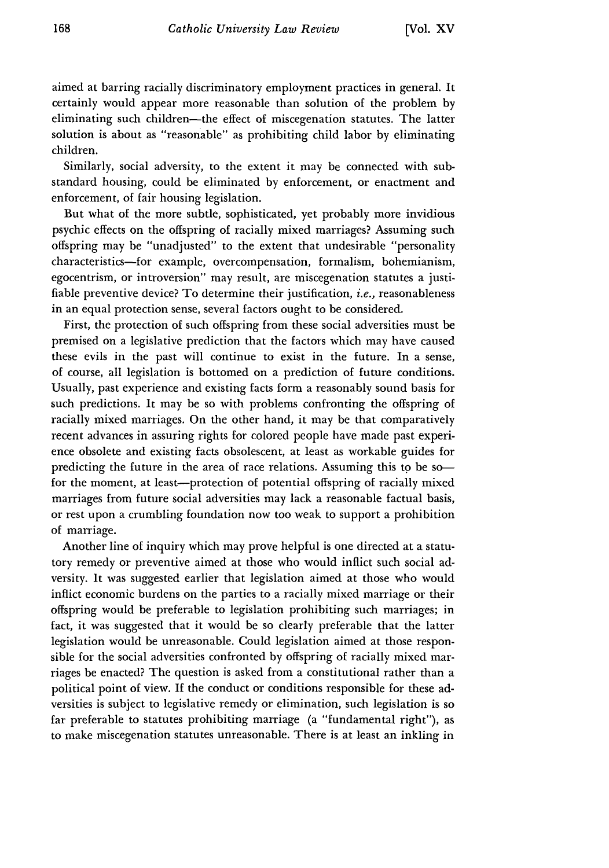aimed at barring racially discriminatory employment practices in general. It certainly would appear more reasonable than solution of the problem by eliminating such children-the effect of miscegenation statutes. The latter solution is about as "reasonable" as prohibiting child labor **by** eliminating children.

Similarly, social adversity, to the extent it may be connected with substandard housing, could be eliminated by enforcement, or enactment and enforcement, of fair housing legislation.

But what of the more subtle, sophisticated, yet probably more invidious psychic effects on the offspring of racially mixed marriages? Assuming such offspring may be "unadjusted" to the extent that undesirable "personality characteristics-for example, overcompensation, formalism, bohemianism, egocentrism, or introversion" may result, are miscegenation statutes a justifiable preventive device? To determine their justification, *i.e.,* reasonableness in an equal protection sense, several factors ought to be considered.

First, the protection of such offspring from these social adversities must be premised on a legislative prediction that the factors which may have caused these evils in the past will continue to exist in the future. In a sense, of course, all legislation is bottomed on a prediction of future conditions. Usually, past experience and existing facts form a reasonably sound basis for such predictions. It may be so with problems confronting the offspring of racially mixed marriages. On the other hand, it may be that comparatively recent advances in assuring rights for colored people have made past experience obsolete and existing facts obsolescent, at least as workable guides for predicting the future in the area of race relations. Assuming this to be sofor the moment, at least—protection of potential offspring of racially mixed marriages from future social adversities may lack a reasonable factual basis, or rest upon a crumbling foundation now too weak to support a prohibition of marriage.

Another line of inquiry which may prove helpful is one directed at a statutory remedy or preventive aimed at those who would inflict such social adversity. it was suggested earlier that legislation aimed at those who would inflict economic burdens on the parties to a racially mixed marriage or their offspring would be preferable to legislation prohibiting such marriages; in fact, it was suggested that it would be so clearly preferable that the latter legislation would be unreasonable. Could legislation aimed at those responsible for the social adversities confronted **by** offspring of racially mixed marriages be enacted? The question is asked from a constitutional rather than a political point of view. If the conduct or conditions responsible for these adversities is subject to legislative remedy or elimination, such legislation is so far preferable to statutes prohibiting marriage (a "fundamental right"), as to make miscegenation statutes unreasonable. There is at least an inkling in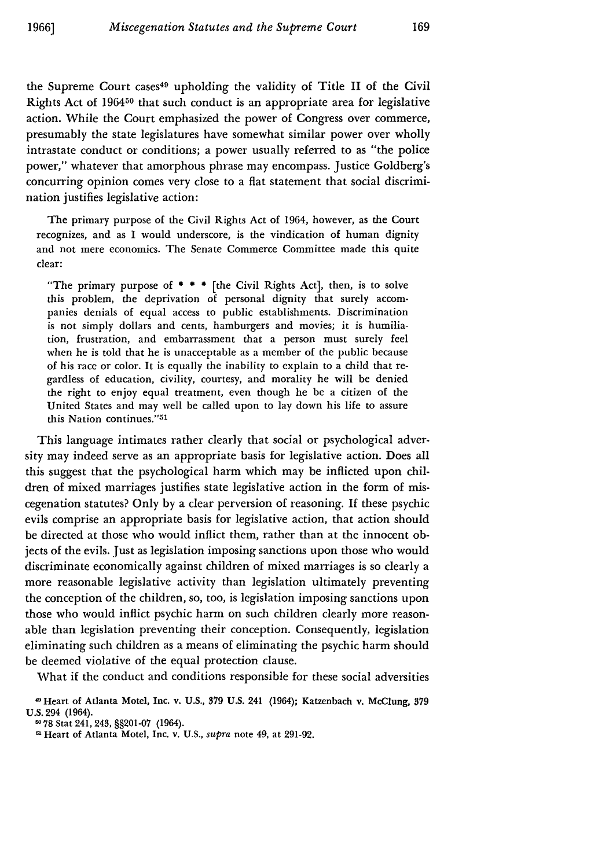the Supreme Court cases<sup>49</sup> upholding the validity of Title II of the Civil Rights Act of 196450 that such conduct is an appropriate area for legislative action. While the Court emphasized the power of Congress over commerce, presumably the state legislatures have somewhat similar power over wholly intrastate conduct or conditions; a power usually referred to as "the police power," whatever that amorphous phrase may encompass. Justice Goldberg's concurring opinion comes very close to a flat statement that social discrimination justifies legislative action:

The primary purpose of the Civil Rights Act of 1964, however, as the Court recognizes, and as I would underscore, is the vindication of human dignity and not mere economics. The Senate Commerce Committee made this quite clear:

"The primary purpose of  $***$  [the Civil Rights Act], then, is to solve this problem, the deprivation of personal dignity that surely accompanies denials of equal access to public establishments. Discrimination is not simply dollars and cents, hamburgers and movies; it is humiliation, frustration, and embarrassment that a person must surely feel when he is told that he is unacceptable as a member of the public because of his race or color. It is equally the inability to explain to a child that regardless of education, civility, courtesy, and morality he will be denied the right to enjoy equal treatment, even though he be a citizen of the United States and may well be called upon to lay down his life to assure this Nation continues."<sup>51</sup>

This language intimates rather clearly that social or psychological adversity may indeed serve as an appropriate basis for legislative action. Does all this suggest that the psychological harm which may be inflicted upon children of mixed marriages justifies state legislative action in the form of miscegenation statutes? Only by a clear perversion of reasoning. If these psychic evils comprise an appropriate basis for legislative action, that action should be directed at those who would inflict them, rather than at the innocent objects of the evils. Just as legislation imposing sanctions upon those who would discriminate economically against children of mixed marriages is so clearly a more reasonable legislative activity than legislation ultimately preventing the conception of the children, so, too, is legislation imposing sanctions upon those who would inflict psychic harm on such children clearly more reasonable than legislation preventing their conception. Consequently, legislation eliminating such children as a means of eliminating the psychic harm should be deemed violative of the equal protection clause.

What if the conduct and conditions responsible for these social adversities

<sup>-</sup>Heart of Atlanta Motel, Inc. v. **U.S., 379 U.S.** 241 (1964); Katzenbach v. McClung, **379** U.S. 294 (1964).

**<sup>50</sup>** 78 Stat 241, 243, **§§201-07** (1964).

**<sup>51</sup>** Heart of Atlanta Motel, Inc. v. U.S., supra note 49, at 291-92.